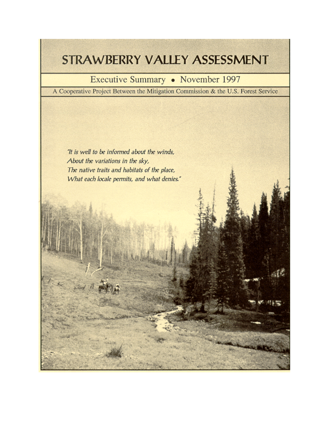# STRAWBERRY VALLEY ASSESSMENT

# Executive Summary • November 1997

A Cooperative Project Between the Mitigation Commission & the U.S. Forest Service

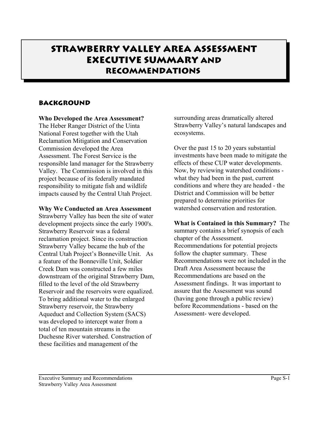# **Strawberry Valley Area Assessment Executive Summary and Recommendations**

### **BACKGROUND**

#### **Who Developed the Area Assessment?**

The Heber Ranger District of the Uinta National Forest together with the Utah Reclamation Mitigation and Conservation Commission developed the Area Assessment. The Forest Service is the responsible land manager for the Strawberry Valley. The Commission is involved in this project because of its federally mandated responsibility to mitigate fish and wildlife impacts caused by the Central Utah Project.

#### **Why We Conducted an Area Assessment**

Strawberry Valley has been the site of water development projects since the early 1900's. Strawberry Reservoir was a federal reclamation project. Since its construction Strawberry Valley became the hub of the Central Utah Project's Bonneville Unit. As a feature of the Bonneville Unit, Soldier Creek Dam was constructed a few miles downstream of the original Strawberry Dam, filled to the level of the old Strawberry Reservoir and the reservoirs were equalized. To bring additional water to the enlarged Strawberry reservoir, the Strawberry Aqueduct and Collection System (SACS) was developed to intercept water from a total of ten mountain streams in the Duchesne River watershed. Construction of these facilities and management of the

surrounding areas dramatically altered Strawberry Valley's natural landscapes and ecosystems.

Over the past 15 to 20 years substantial investments have been made to mitigate the effects of these CUP water developments. Now, by reviewing watershed conditions what they had been in the past, current conditions and where they are headed - the District and Commission will be better prepared to determine priorities for watershed conservation and restoration.

#### **What is Contained in this Summary?** The

summary contains a brief synopsis of each chapter of the Assessment. Recommendations for potential projects follow the chapter summary. These Recommendations were not included in the Draft Area Assessment because the Recommendations are based on the Assessment findings. It was important to assure that the Assessment was sound (having gone through a public review) before Recommendations - based on the Assessment- were developed.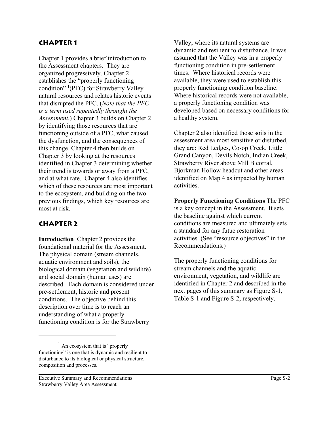#### **Chapter 1**

Chapter 1 provides a brief introduction to the Assessment chapters. They are organized progressively. Chapter 2 establishes the "properly functioning condition" 1 (PFC) for Strawberry Valley natural resources and relates historic events that disrupted the PFC. (*Note that the PFC is a term used repeatedly throught the Assessment.*) Chapter 3 builds on Chapter 2 by identifying those resources that are functioning outside of a PFC, what caused the dysfunction, and the consequences of this change. Chapter 4 then builds on Chapter 3 by looking at the resources identified in Chapter 3 determining whether their trend is towards or away from a PFC, and at what rate. Chapter 4 also identifies which of these resources are most important to the ecosystem, and building on the two previous findings, which key resources are most at risk.

#### **Chapter 2**

**Introduction** Chapter 2 provides the foundational material for the Assessment. The physical domain (stream channels, aquatic environment and soils), the biological domain (vegetation and wildlife) and social domain (human uses) are described. Each domain is considered under pre-settlement, historic and present conditions. The objective behind this description over time is to reach an understanding of what a properly functioning condition is for the Strawberry

Valley, where its natural systems are dynamic and resilient to disturbance. It was assumed that the Valley was in a properly functioning condition in pre-settlement times. Where historical records were available, they were used to establish this properly functioning condition baseline. Where historical records were not available, a properly functioning condition was developed based on necessary conditions for a healthy system.

Chapter 2 also identified those soils in the assessment area most sensitive or disturbed, they are: Red Ledges, Co-op Creek, Little Grand Canyon, Devils Notch, Indian Creek, Strawberry River above Mill B corral, Bjorkman Hollow headcut and other areas identified on Map 4 as impacted by human activities.

**Properly Functioning Conditions** The PFC is a key concept in the Assessment. It sets the baseline against which current conditions are measured and ultimately sets a standard for any futue restoration activities. (See "resource objectives" in the Recommendations.)

The properly functioning conditions for stream channels and the aquatic environment, vegetation, and wildlife are identified in Chapter 2 and described in the next pages of this summary as Figure S-1, Table S-1 and Figure S-2, respectively.

 $<sup>1</sup>$  An ecosystem that is "properly"</sup> functioning" is one that is dynamic and resilient to disturbance to its biological or physical structure, composition and processes.

Executive Summary and Recommendations Page S-2 Strawberry Valley Area Assessment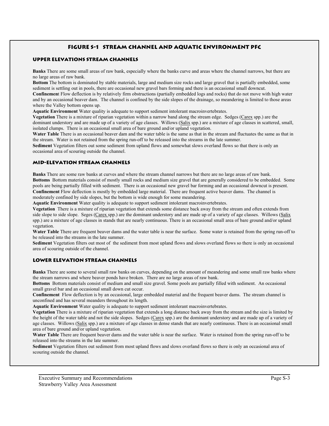#### **Figure S-1 Stream channel and aquatic environment PFC**

#### **UPPER ELEVATIONS Stream Channels**

**Banks** There are some small areas of raw bank, especially where the banks curve and areas where the channel narrows, but there are no large areas of raw bank.

**Bottom** The bottom is dominated by stable materials, large and medium size rocks and large gravel that is partially embedded, some sediment is settling out in pools, there are occasional new gravel bars forming and there is an occasional small downcut.

**Confinemen**t Flow deflection is by relatively firm obstructions (partially embedded logs and rocks) that do not move with high water and by an occasional beaver dam. The channel is confined by the side slopes of the drainage, so meandering is limited to those areas where the Valley bottom opens up.

**Aquatic Environment** Water quality is adequate to support sediment intolerant macroinvertebrates.

**Vegetation** There is a mixture of riparian vegetation within a narrow band along the stream edge. Sedges (Carex spp.) are the dominant understory and are made up of a variety of age classes. Willows (Salix spp.) are a mixture of age classes in scattered, small, isolated clumps. There is an occasional small area of bare ground and/or upland vegetation.

**Water Table** There is an occasional beaver dam and the water table is the same as that in the stream and fluctuates the same as that in the stream. Water is not retained from the spring run-off to be released into the streams in the late summer.

**Sediment** Vegetation filters out some sediment from upland flows and somewhat slows overland flows so that there is only an occasional area of scouring outside the channel.

#### **MID-ELEVATION Stream Channels**

**Banks** There are some raw banks at curves and where the stream channel narrows but there are no large areas of raw bank. **Bottoms** Bottom materials consist of mostly small rocks and medium size gravel that are generally considered to be embedded. Some pools are being partially filled with sediment. There is an occasional new gravel bar forming and an occasional downcut is present. **Confinement** Flow deflection is mostly by embedded large material. There are frequent active beaver dams. The channel is moderately confined by side slopes, but the bottom is wide enough for some meandering.

**Aquatic Environment** Water quality is adequate to support sediment intolerant macroinvertebrates.

**Vegetation** There is a mixture of riparian vegetation that extends some distance back away from the stream and often extends from side slope to side slope. Seges (Carex spp.) are the dominant understory and are made up of a variety of age classes. Willows (Salix spp.) are a mixture of age classes in stands that are nearly continuous. There is an occasional small area of bare ground and/or upland vegetation.

**Water Table** There are frequent beaver dams and the water table is near the surface. Some water is retained from the spring run-off to be released into the streams in the late summer.

**Sediment** Vegetation filters out most of the sediment from most upland flows and slows overland flows so there is only an occasional area of scouring outside of the channel.

#### **LOWER ELEVATION Stream channels**

**Banks** There are some to several small raw banks on curves, depending on the amount of meandering and some small raw banks where the stream narrows and where beaver ponds have broken. There are no large areas of raw bank.

**Bottoms** Bottom materials consist of medium and small size gravel. Some pools are partially filled with sediment. An occasional small gravel bar and an occasional small down cut occur.

**Confinement** Flow deflection is by an occasional, large embedded material and the frequent beaver dams. The stream channel is unconfined and has several meanders throughout its length.

**Aquatic Environment** Water quality is adequate to support sediment intolerant macroinvertebrates.

**Vegetation** There is a mixture of riparian vegetation that extends a long distance back away from the stream and the size is limited by the height of the water table and not the side slopes. Sedges (Carex spp.) are the dominant understory and are made up of a variety of age classes. Willows (Salix spp.) are a mixture of age classes in dense stands that are nearly continuous. There is an occasional small area of bare ground and/or upland vegetation.

**Water Table** There are frequent beaver dams and the water table is near the surface. Water is retained from the spring run-off to be released into the streams in the late summer.

**Sediment** Vegetation filters out sediment from most upland flows and slows overland flows so there is only an occasional area of scouring outside the channel.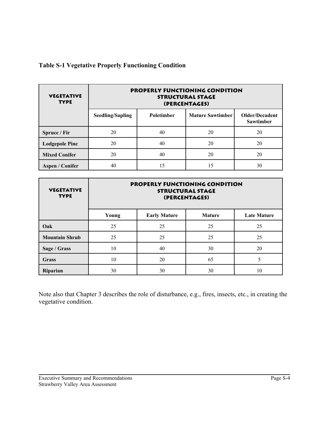| <b>VEGETATIVE</b><br><b>TYPE</b> | PROPERLY FUNCTIONING CONDITION<br><b>STRUCTURAL STAGE</b><br>(PERCENTAGES) |            |                         |                                    |
|----------------------------------|----------------------------------------------------------------------------|------------|-------------------------|------------------------------------|
|                                  | Seedling/Sapling                                                           | Poletimber | <b>Mature Sawtimber</b> | Older/Decadent<br><b>Sawtimber</b> |
| Spruce / Fir                     | 20                                                                         | 40         | 20                      | 20                                 |
| <b>Lodgepole Pine</b>            | 20                                                                         | 40         | 20                      | 20                                 |
| <b>Mixed Conifer</b>             | 20                                                                         | 40         | 20                      | 20                                 |
| <b>Aspen / Conifer</b>           | 40                                                                         | l5         | 15                      | 30                                 |

### **Table S-1 Vegetative Properly Functioning Condition**

| <b>VEGETATIVE</b><br><b>TYPE</b> | PROPERLY FUNCTIONING CONDITION<br><b>STRUCTURAL STAGE</b><br>(PERCENTAGES) |                     |               |                    |
|----------------------------------|----------------------------------------------------------------------------|---------------------|---------------|--------------------|
|                                  | Young                                                                      | <b>Early Mature</b> | <b>Mature</b> | <b>Late Mature</b> |
| Oak                              | 25                                                                         | 25                  | 25            | 25                 |
| <b>Mountain Shrub</b>            | 25                                                                         | 25                  | 25            | 25                 |
| Sage / Grass                     | 10                                                                         | 40                  | 30            | 20                 |
| Grass                            | 10                                                                         | 20                  | 65            | 5                  |
| Riparian                         | 30                                                                         | 30                  | 30            | 10                 |

Note also that Chapter 3 describes the role of disturbance, e.g., fires, insects, etc., in creating the vegetative condition.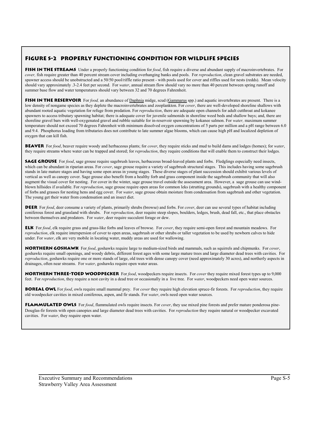#### **Figure S-2 Properly Functioning Condition for Wildlife Species**

**FISH IN THE STREAMS** Under a properly functioning condition for *food*, fish require a diverse and abundant supply of macroinvertebrates. For *cover,* fish require greater than 40 percent stream cover including overhanging banks and pools. For *reproduction*, clean gravel substrates are needed, spawner access should be unobstructed and a 50/50 pool/riffle ratio present - with pools used for cover and riffles used for nests (redds). Mean velocity should vary approximately .3-2.4 feet per second. For *water*, annual stream flow should vary no more than 40 percent between spring runoff and summer base flow and water temperatures should vary between 32 and 70 degrees Fahrenheit.

**FISH IN THE RESERVOIR** For *food*, an abundance of Daphnia midge, scud (Gammarus spp.) and aquatic invertebrates are present. There is a low density of nongame species as they deplete the macroinvertebrates and zooplankton. For *cover*, there are well-developed shoreline shallows with abundant rooted aquatic vegetation for refuge from predation. For *reproduction*, there are adequate open channels for adult cutthroat and kokanee spawners to access tributary spawning habitat; there is adequate cover for juvenile salmonids in shoreline weed beds and shallow bays; and, there are shoreline gravel bars with well-oxygenated gravel and rubble suitable for in-reservoir spawning by kokanee salmon. For *water,* maximum summer temperature should not exceed 70 degrees Fahrenheit with minimum dissolved oxygen concentrations of 5 parts per million and a pH range between 6.0 and 9.4. Phosphorus loading from tributaries does not contribute to late summer algae blooms, which can cause high pH and localized depletion of oxygen that can kill fish.

**Beaver** For *food*, beaver require woody and herbaceous plants; for *cover*, they require sticks and mud to build dams and lodges (homes); for *water*, they require streams where water can be trapped and stored; for *reproduction*, they require conditions that will enable them to construct their lodges.

**SAGE GROUSE** For *food*, sage grouse require sagebrush leaves, herbaceous broad-leaved plants and forbs. Fledglings especially need insects, which can be abundant in riparian areas. For *cover*, sage grouse require a variety of sagebrush structural stages. This includes having some sagebrush stands in late mature stages and having some open areas in young stages. These diverse stages of plant succession should exhibit various levels of vertical as well as canopy cover. Sage grouse also benefit from a healthy forb and grass component inside the sagebrush community that will also augment the visual cover for nesting. For cover in the winter, sage grouse travel outside the assessment area. However, a sage grouse can use windblown hillsides if available. For *reproduction*, sage grouse require open areas for common leks (strutting grounds), sagebrush with a healthy component of forbs and grasses for nesting hens and egg cover. For *water*, sage grouse obtain moisture from condensation from sagebrush and other vegetation. The young get their water from condensation and an insect diet.

**DEER** For *food*, deer consume a variety of plants, primarily shrubs (browse) and forbs. For *cover*, deer can use several types of habitat including coniferous forest and grassland with shrubs. For *reproduction*, deer require steep slopes, boulders, ledges, brush, dead fall, etc., that place obstacles between themselves and predators. For *water*, deer require succulent forage or dew.

**Elk** For *food*, elk require grass and grass-like forbs and leaves of browse. For *cover*, they require semi-open forest and mountain meadows. For *reproduction*, elk require interspersion of cover to open areas, sagebrush or other shrubs or taller vegetation to be used by newborn calves to hide under. For *water*, elk are very mobile in locating water, muddy areas are used for wallowing.

**Northern Goshawk** For *food*, goshawks require large to medium-sized birds and mammals, such as squirrels and chipmunks. For *cover*, goshawks require small openings, and woody debris, different forest ages with some large mature trees and large diameter dead trees with cavities. For *reproduction*, goshawks require one or more stands of large, old trees with dense canopy cover (need approximately 30 acres), and northerly aspects in drainages, often near streams. For *water*, goshawks require open water areas.

**NORTHERN THREE-TOED WOODPECKER** For *food*, woodpeckers require insects. For *cover* they require mixed forest types up to 9,000 feet. For *reproduction*, they require a nest cavity in a dead tree or occasionally in a live tree. For *water*, woodpeckers need open water sources.

**Boreal Owl** For *food*, owls require small mammal prey. For *cover* they require high elevation spruce-fir forests. For *reproduction*, they require old woodpecker cavities in mixed coniferous, aspen, and fir stands. For *water*, owls need open water sources.

**Flammulated Owls** For *food*, flammulated owls require insects. For *cover*, they use mixed pine forests and prefer mature ponderosa pine-Douglas-fir forests with open canopies and large diameter dead trees with cavities. For *reproduction* they require natural or woodpecker excavated cavities. For *water*, they require open water.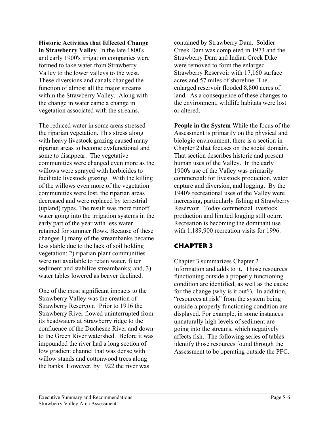**Historic Activities that Effected Change in Strawberry Valley** In the late 1800's and early 1900's irrigation companies were formed to take water from Strawberry Valley to the lower valleys to the west. These diversions and canals changed the function of almost all the major streams within the Strawberry Valley. Along with the change in water came a change in vegetation associated with the streams.

The reduced water in some areas stressed the riparian vegetation. This stress along with heavy livestock grazing caused many riparian areas to become dysfunctional and some to disappear. The vegetative communities were changed even more as the willows were sprayed with herbicides to facilitate livestock grazing. With the killing of the willows even more of the vegetation communities were lost, the riparian areas decreased and were replaced by terrestrial (upland) types. The result was more runoff water going into the irrigation systems in the early part of the year with less water retained for summer flows. Because of these changes 1) many of the streambanks became less stable due to the lack of soil holding vegetation; 2) riparian plant communities were not available to retain water, filter sediment and stabilize streambanks; and, 3) water tables lowered as beaver declined.

One of the most significant impacts to the Strawberry Valley was the creation of Strawberry Reservoir. Prior to 1916 the Strawberry River flowed uninterrupted from its headwaters at Strawberry ridge to the confluence of the Duchesne River and down to the Green River watershed. Before it was impounded the river had a long section of low gradient channel that was dense with willow stands and cottonwood trees along the banks. However, by 1922 the river was

contained by Strawberry Dam. Soldier Creek Dam was completed in 1973 and the Strawberry Dam and Indian Creek Dike were removed to form the enlarged Strawberry Reservoir with 17,160 surface acres and 57 miles of shoreline. The enlarged reservoir flooded 8,800 acres of land. As a consequence of these changes to the environment, wildlife habitats were lost or altered.

**People in the System** While the focus of the Assessment is primarily on the physical and biologic environment, there is a section in Chapter 2 that focuses on the social domain. That section describes historic and present human uses of the Valley. In the early 1900's use of the Valley was primarily commercial: for livestock production, water capture and diversion, and logging. By the 1940's recreational uses of the Valley were increasing, particularly fishing at Strawberry Reservoir. Today commercial livestock production and limited logging still ocurr. Recreation is becoming the dominant use with 1,189,900 recreation visits for 1996.

### **Chapter 3**

Chapter 3 summarizes Chapter 2 information and adds to it. Those resources functioning outside a properly functioning condition are identified, as well as the cause for the change (why is it out?). In addition, "resources at risk" from the system being outside a properly functioning condition are displayed. For example, in some instances unnaturally high levels of sediment are going into the streams, which negatively affects fish. The following series of tables identify those resources found through the Assessment to be operating outside the PFC.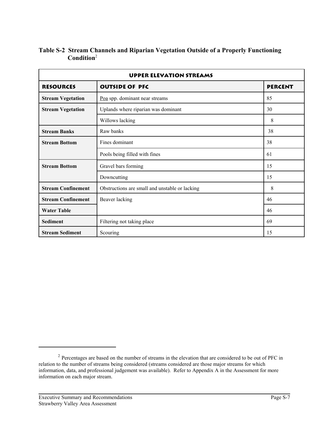| <b>UPPER ELEVATION STREAMS</b> |                                                |                |
|--------------------------------|------------------------------------------------|----------------|
| <b>RESOURCES</b>               | <b>OUTSIDE OF PFC</b>                          | <b>PERCENT</b> |
| <b>Stream Vegetation</b>       | Poa spp. dominant near streams                 | 85             |
| <b>Stream Vegetation</b>       | Uplands where riparian was dominant            | 30             |
|                                | Willows lacking                                | 8              |
| <b>Stream Banks</b>            | Raw banks                                      | 38             |
| <b>Stream Bottom</b>           | Fines dominant                                 | 38             |
|                                | Pools being filled with fines                  | 61             |
| <b>Stream Bottom</b>           | Gravel bars forming                            | 15             |
|                                | Downcutting                                    | 15             |
| <b>Stream Confinement</b>      | Obstructions are small and unstable or lacking | 8              |
| <b>Stream Confinement</b>      | Beaver lacking<br>46                           |                |
| <b>Water Table</b>             |                                                | 46             |
| <b>Sediment</b>                | Filtering not taking place                     | 69             |
| <b>Stream Sediment</b>         | Scouring                                       | 15             |

### **Table S-2 Stream Channels and Riparian Vegetation Outside of a Properly Functioning Condition**<sup>2</sup>

<sup>&</sup>lt;sup>2</sup> Percentages are based on the number of streams in the elevation that are considered to be out of PFC in relation to the number of streams being considered (streams considered are those major streams for which information, data, and professional judgement was available). Refer to Appendix A in the Assessment for more information on each major stream.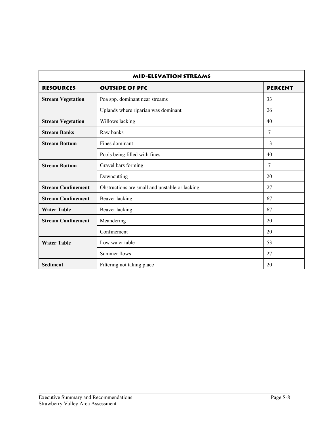| <b>MID-ELEVATION STREAMS</b> |                                                |    |
|------------------------------|------------------------------------------------|----|
| <b>RESOURCES</b>             | <b>OUTSIDE OF PFC</b><br><b>PERCENT</b>        |    |
| <b>Stream Vegetation</b>     | Poa spp. dominant near streams                 | 33 |
|                              | Uplands where riparian was dominant            | 26 |
| <b>Stream Vegetation</b>     | Willows lacking                                | 40 |
| <b>Stream Banks</b>          | Raw banks                                      | 7  |
| <b>Stream Bottom</b>         | Fines dominant                                 | 13 |
|                              | Pools being filled with fines                  | 40 |
| <b>Stream Bottom</b>         | Gravel bars forming                            | 7  |
|                              | Downcutting                                    | 20 |
| <b>Stream Confinement</b>    | Obstructions are small and unstable or lacking | 27 |
| <b>Stream Confinement</b>    | Beaver lacking                                 | 67 |
| <b>Water Table</b>           | Beaver lacking                                 | 67 |
| <b>Stream Confinement</b>    | Meandering                                     | 20 |
|                              | Confinement                                    | 20 |
| <b>Water Table</b>           | Low water table                                | 53 |
|                              | Summer flows                                   | 27 |
| <b>Sediment</b>              | Filtering not taking place                     | 20 |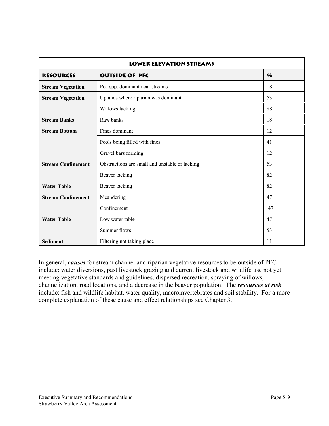| <b>LOWER ELEVATION STREAMS</b> |                                                |    |
|--------------------------------|------------------------------------------------|----|
| <b>RESOURCES</b>               | <b>OUTSIDE OF PFC</b>                          | %  |
| <b>Stream Vegetation</b>       | Poa spp. dominant near streams                 | 18 |
| <b>Stream Vegetation</b>       | Uplands where riparian was dominant            | 53 |
|                                | Willows lacking                                | 88 |
| <b>Stream Banks</b>            | Raw banks                                      | 18 |
| <b>Stream Bottom</b>           | Fines dominant                                 | 12 |
|                                | Pools being filled with fines                  | 41 |
|                                | Gravel bars forming                            | 12 |
| <b>Stream Confinement</b>      | Obstructions are small and unstable or lacking | 53 |
|                                | Beaver lacking                                 | 82 |
| <b>Water Table</b>             | Beaver lacking                                 | 82 |
| <b>Stream Confinement</b>      | Meandering                                     | 47 |
|                                | Confinement                                    | 47 |
| <b>Water Table</b>             | Low water table                                | 47 |
|                                | Summer flows                                   | 53 |
| <b>Sediment</b>                | Filtering not taking place                     | 11 |

In general, *causes* for stream channel and riparian vegetative resources to be outside of PFC include: water diversions, past livestock grazing and current livestock and wildlife use not yet meeting vegetative standards and guidelines, dispersed recreation, spraying of willows, channelization, road locations, and a decrease in the beaver population. The *resources at risk* include: fish and wildlife habitat, water quality, macroinvertebrates and soil stability. For a more complete explanation of these cause and effect relationships see Chapter 3.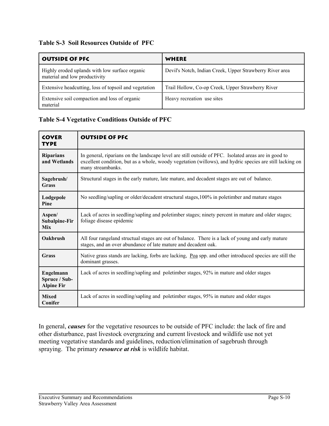### **Table S-3 Soil Resources Outside of PFC**

| <b>OUTSIDE OF PFC</b>                                                           | WHERE                                                    |
|---------------------------------------------------------------------------------|----------------------------------------------------------|
| Highly eroded uplands with low surface organic<br>material and low productivity | Devil's Notch, Indian Creek, Upper Strawberry River area |
| Extensive headcutting, loss of topsoil and vegetation                           | Trail Hollow, Co-op Creek, Upper Strawberry River        |
| Extensive soil compaction and loss of organic<br>material                       | Heavy recreation use sites                               |

### **Table S-4 Vegetative Conditions Outside of PFC**

| <b>COVER</b><br><b>TYPE</b>                     | <b>OUTSIDE OF PFC</b>                                                                                                                                                                                                                 |
|-------------------------------------------------|---------------------------------------------------------------------------------------------------------------------------------------------------------------------------------------------------------------------------------------|
| <b>Riparians</b><br>and Wetlands                | In general, riparians on the landscape level are still outside of PFC. Isolated areas are in good to<br>excellent condition, but as a whole, woody vegetation (willows), and hydric species are still lacking on<br>many streambanks. |
| Sagebrush/<br><b>Grass</b>                      | Structural stages in the early mature, late mature, and decadent stages are out of balance.                                                                                                                                           |
| Lodgepole<br>Pine                               | No seedling/sapling or older/decadent structural stages, 100% in poletimber and mature stages                                                                                                                                         |
| Aspen/<br>Subalpine-Fir<br><b>Mix</b>           | Lack of acres in seedling/sapling and poletimber stages; ninety percent in mature and older stages;<br>foliage disease epidemic                                                                                                       |
| Oakbrush                                        | All four rangeland structual stages are out of balance. There is a lack of young and early mature<br>stages, and an over abundance of late mature and decadent oak.                                                                   |
| <b>Grass</b>                                    | Native grass stands are lacking, forbs are lacking, Poa spp. and other introduced species are still the<br>dominant grasses.                                                                                                          |
| Engelmann<br>Spruce / Sub-<br><b>Alpine Fir</b> | Lack of acres in seedling/sapling and poletimber stages, 92% in mature and older stages                                                                                                                                               |
| <b>Mixed</b><br>Conifer                         | Lack of acres in seedling/sapling and poletimber stages, 95% in mature and older stages                                                                                                                                               |

In general, *causes* for the vegetative resources to be outside of PFC include: the lack of fire and other disturbance, past livestock overgrazing and current livestock and wildlife use not yet meeting vegetative standards and guidelines, reduction/elimination of sagebrush through spraying. The primary *resource at risk* is wildlife habitat.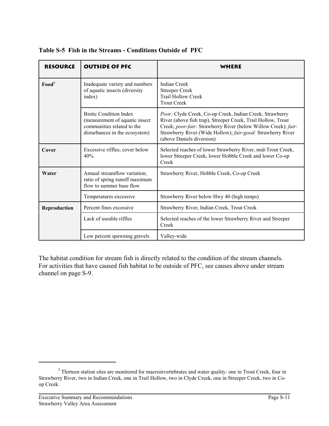| <b>RESOURCE</b>   | <b>OUTSIDE OF PFC</b>                                                                                                           | WHERE                                                                                                                                                                                                                                                                                  |
|-------------------|---------------------------------------------------------------------------------------------------------------------------------|----------------------------------------------------------------------------------------------------------------------------------------------------------------------------------------------------------------------------------------------------------------------------------------|
| Food <sup>3</sup> | Inadequate variety and numbers<br>of aquatic insects (diversity<br>index)                                                       | <b>Indian Creek</b><br><b>Streeper Creek</b><br><b>Trail Hollow Creek</b><br><b>Trout Creek</b>                                                                                                                                                                                        |
|                   | <b>Biotic Condition Index</b><br>(measurement of aquatic insect<br>communities related to the<br>disturbances in the ecosystem) | Poor: Clyde Creek, Co-op Creek, Indian Creek, Strawberry<br>River (above fish trap), Streeper Creek, Trail Hollow, Trout<br>Creek; poor-fair: Strawberry River (below Willow Creek); fair:<br>Strawberry River (Wide Hollow); fair-good: Strawberry River<br>(above Daniels diversion) |
| Cover             | Excessive riffles; cover below<br>40%                                                                                           | Selected reaches of lower Strawberry River, mid-Trout Creek,<br>lower Streeper Creek, lower Hobble Creek and lower Co-op<br>Creek                                                                                                                                                      |
| Water             | Annual streamflow variation;<br>ratio of spring runoff maximum<br>flow to summer base flow                                      | Strawberry River, Hobble Creek, Co-op Creek                                                                                                                                                                                                                                            |
|                   | Temperatures excessive                                                                                                          | Strawberry River below Hwy 40 (high temps)                                                                                                                                                                                                                                             |
| Reproduction      | Percent fines excessive                                                                                                         | Strawberry River, Indian Creek, Trout Creek                                                                                                                                                                                                                                            |
|                   | Lack of useable riffles                                                                                                         | Selected reaches of the lower Strawberry River and Streeper<br>Creek                                                                                                                                                                                                                   |
|                   | Low percent spawning gravels                                                                                                    | Valley-wide                                                                                                                                                                                                                                                                            |

**Table S-5 Fish in the Streams - Conditions Outside of PFC**

The habitat condition for stream fish is directly related to the condition of the stream channels. For activities that have caused fish habitat to be outside of PFC, see causes above under stream channel on page S-9.

<sup>&</sup>lt;sup>3</sup> Thirteen station sites are monitored for macroinvertebrates and water quality: one in Trout Creek, four in Strawberry River, two in Indian Creek, one in Trail Hollow, two in Clyde Creek, one in Streeper Creek, two in Coop Creek.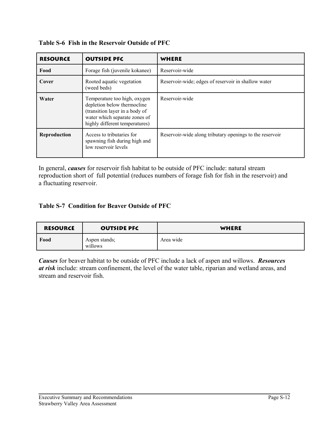| <b>RESOURCE</b> | <b>OUTSIDE PFC</b>                                                                                                                                               | WHERE                                                    |
|-----------------|------------------------------------------------------------------------------------------------------------------------------------------------------------------|----------------------------------------------------------|
| Food            | Forage fish (juvenile kokanee)                                                                                                                                   | Reservoir-wide                                           |
| Cover           | Rooted aquatic vegetation<br>(weed beds)                                                                                                                         | Reservoir-wide; edges of reservoir in shallow water      |
| Water           | Temperature too high, oxygen<br>depletion below thermocline<br>(transition layer in a body of<br>water which separate zones of<br>highly different temperatures) | Reservoir-wide                                           |
| Reproduction    | Access to tributaries for<br>spawning fish during high and<br>low reservoir levels                                                                               | Reservoir-wide along tributary openings to the reservoir |

**Table S-6 Fish in the Reservoir Outside of PFC**

In general, *causes* for reservoir fish habitat to be outside of PFC include: natural stream reproduction short of full potential (reduces numbers of forage fish for fish in the reservoir) and a fluctuating reservoir.

### **Table S-7 Condition for Beaver Outside of PFC**

| <b>RESOURCE</b> | <b>OUTSIDE PFC</b>       | WHERE     |
|-----------------|--------------------------|-----------|
| Food            | Aspen stands;<br>willows | Area wide |

*Causes* for beaver habitat to be outside of PFC include a lack of aspen and willows. *Resources at risk* include: stream confinement, the level of the water table, riparian and wetland areas, and stream and reservoir fish.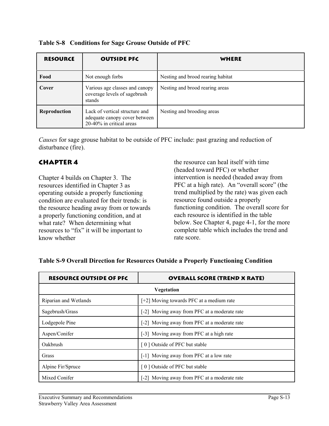| <b>RESOURCE</b> | <b>OUTSIDE PFC</b>                                                                          | WHERE                             |
|-----------------|---------------------------------------------------------------------------------------------|-----------------------------------|
| Food            | Not enough forbs                                                                            | Nesting and brood rearing habitat |
| Cover           | Various age classes and canopy<br>coverage levels of sagebrush<br>stands                    | Nesting and brood rearing areas   |
| Reproduction    | Lack of vertical structure and<br>adequate canopy cover between<br>20-40% in critical areas | Nesting and brooding areas        |

**Table S-8 Conditions for Sage Grouse Outside of PFC**

*Causes* for sage grouse habitat to be outside of PFC include: past grazing and reduction of disturbance (fire).

### **Chapter 4**

Chapter 4 builds on Chapter 3. The resources identified in Chapter 3 as operating outside a properly functioning condition are evaluated for their trends: is the resource heading away from or towards a properly functioning condition, and at what rate? When determining what resources to "fix" it will be important to know whether

the resource can heal itself with time (headed toward PFC) or whether intervention is needed (headed away from PFC at a high rate). An "overall score" (the trend multiplied by the rate) was given each resource found outside a properly functioning condition. The overall score for each resource is identified in the table below. See Chapter 4, page 4-1, for the more complete table which includes the trend and rate score.

| <b>RESOURCE OUTSIDE OF PFC</b> | <b>OVERALL SCORE (TREND X RATE)</b>          |  |
|--------------------------------|----------------------------------------------|--|
| <b>Vegetation</b>              |                                              |  |
| Riparian and Wetlands          | $[-2]$ Moving towards PFC at a medium rate   |  |
| Sagebrush/Grass                | [-2] Moving away from PFC at a moderate rate |  |
| Lodgepole Pine                 | [-2] Moving away from PFC at a moderate rate |  |
| Aspen/Conifer                  | [-3] Moving away from PFC at a high rate     |  |
| Oakbrush                       | [0] Outside of PFC but stable                |  |
| Grass                          | [-1] Moving away from PFC at a low rate      |  |
| Alpine Fir/Spruce              | [0] Outside of PFC but stable                |  |
| Mixed Conifer                  | [-2] Moving away from PFC at a moderate rate |  |

#### **Table S-9 Overall Direction for Resources Outside a Properly Functioning Condition**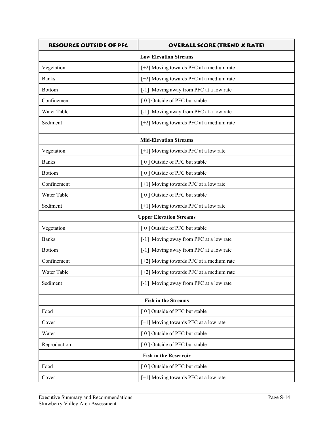| <b>RESOURCE OUTSIDE OF PFC</b> | <b>OVERALL SCORE (TREND X RATE)</b>      |  |
|--------------------------------|------------------------------------------|--|
| <b>Low Elevation Streams</b>   |                                          |  |
| Vegetation                     | [+2] Moving towards PFC at a medium rate |  |
| <b>Banks</b>                   | [+2] Moving towards PFC at a medium rate |  |
| <b>Bottom</b>                  | [-1] Moving away from PFC at a low rate  |  |
| Confinement                    | [0] Outside of PFC but stable            |  |
| Water Table                    | [-1] Moving away from PFC at a low rate  |  |
| Sediment                       | [+2] Moving towards PFC at a medium rate |  |
|                                | <b>Mid-Elevation Streams</b>             |  |
| Vegetation                     | [+1] Moving towards PFC at a low rate    |  |
| <b>Banks</b>                   | [0] Outside of PFC but stable            |  |
| <b>Bottom</b>                  | [0] Outside of PFC but stable            |  |
| Confinement                    | [+1] Moving towards PFC at a low rate    |  |
| Water Table                    | [0] Outside of PFC but stable            |  |
| Sediment                       | [+1] Moving towards PFC at a low rate    |  |
|                                | <b>Upper Elevation Streams</b>           |  |
| Vegetation                     | [0] Outside of PFC but stable            |  |
| <b>Banks</b>                   | [-1] Moving away from PFC at a low rate  |  |
| <b>Bottom</b>                  | [-1] Moving away from PFC at a low rate  |  |
| Confinement                    | [+2] Moving towards PFC at a medium rate |  |
| Water Table                    | [+2] Moving towards PFC at a medium rate |  |
| Sediment                       | [-1] Moving away from PFC at a low rate  |  |
|                                | <b>Fish in the Streams</b>               |  |
| Food                           | [0] Outside of PFC but stable            |  |
| Cover                          | [+1] Moving towards PFC at a low rate    |  |
| Water                          | [0] Outside of PFC but stable            |  |
| Reproduction                   | [0] Outside of PFC but stable            |  |
|                                | <b>Fish in the Reservoir</b>             |  |
| Food                           | [0] Outside of PFC but stable            |  |
| Cover                          | [+1] Moving towards PFC at a low rate    |  |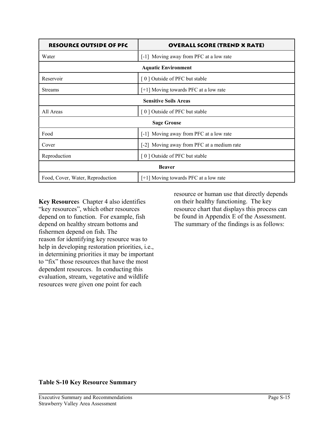| <b>RESOURCE OUTSIDE OF PFC</b>   | <b>OVERALL SCORE (TREND X RATE)</b>        |  |
|----------------------------------|--------------------------------------------|--|
| Water                            | [-1] Moving away from PFC at a low rate    |  |
|                                  | <b>Aquatic Environment</b>                 |  |
| Reservoir                        | [0] Outside of PFC but stable              |  |
| <b>Streams</b>                   | $[+1]$ Moving towards PFC at a low rate    |  |
| <b>Sensitive Soils Areas</b>     |                                            |  |
| All Areas                        | [0] Outside of PFC but stable              |  |
|                                  | <b>Sage Grouse</b>                         |  |
| Food                             | [-1] Moving away from PFC at a low rate    |  |
| Cover                            | [-2] Moving away from PFC at a medium rate |  |
| Reproduction                     | [0] Outside of PFC but stable              |  |
| <b>Beaver</b>                    |                                            |  |
| Food, Cover, Water, Reproduction | $[+1]$ Moving towards PFC at a low rate    |  |

**Key Resource**s Chapter 4 also identifies "key resources", which other resources depend on to function. For example, fish depend on healthy stream bottoms and fishermen depend on fish. The reason for identifying key resource was to help in developing restoration priorities, i.e., in determining priorities it may be important to "fix" those resources that have the most dependent resources. In conducting this evaluation, stream, vegetative and wildlife resources were given one point for each

resource or human use that directly depends on their healthy functioning. The key resource chart that displays this process can be found in Appendix E of the Assessment. The summary of the findings is as follows:

#### **Table S-10 Key Resource Summary**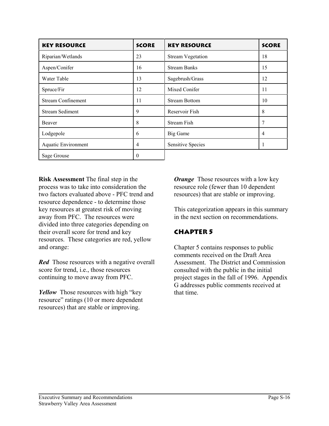| <b>KEY RESOURCE</b>        | <b>SCORE</b> | <b>KEY RESOURCE</b>      | <b>SCORE</b>   |
|----------------------------|--------------|--------------------------|----------------|
| Riparian/Wetlands          | 23           | <b>Stream Vegetation</b> | 18             |
| Aspen/Conifer              | 16           | <b>Stream Banks</b>      | 15             |
| Water Table                | 13           | Sagebrush/Grass          | 12             |
| Spruce/Fir                 | 12           | Mixed Conifer            | 11             |
| <b>Stream Confinement</b>  | 11           | <b>Stream Bottom</b>     | 10             |
| <b>Stream Sediment</b>     | 9            | Reservoir Fish           | 8              |
| Beaver                     | 8            | <b>Stream Fish</b>       | 7              |
| Lodgepole                  | 6            | Big Game                 | $\overline{4}$ |
| <b>Aquatic Environment</b> | 4            | <b>Sensitive Species</b> | 1              |
| Sage Grouse                | 0            |                          |                |

**Risk Assessment** The final step in the process was to take into consideration the two factors evaluated above - PFC trend and resource dependence - to determine those key resources at greatest risk of moving away from PFC. The resources were divided into three categories depending on their overall score for trend and key resources. These categories are red, yellow and orange:

*Red* Those resources with a negative overall score for trend, i.e., those resources continuing to move away from PFC.

*Yellow* Those resources with high "key" resource" ratings (10 or more dependent resources) that are stable or improving.

*Orange* Those resources with a low key resource role (fewer than 10 dependent resources) that are stable or improving.

This categorization appears in this summary in the next section on recommendations.

### **Chapter 5**

Chapter 5 contains responses to public comments received on the Draft Area Assessment. The District and Commission consulted with the public in the initial project stages in the fall of 1996. Appendix G addresses public comments received at that time.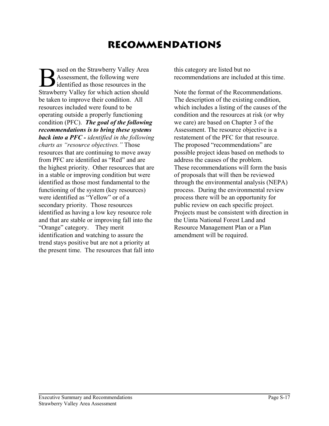# **Recommendations**

**B** ased on the Strawberry Valley Area<br> **B** Assessment, the following were<br>
Strawberry Valley for which action should Assessment, the following were Strawberry Valley for which action should be taken to improve their condition. All resources included were found to be operating outside a properly functioning condition (PFC). *The goal of the following recommendations is to bring these systems back into a PFC - identified in the following charts as "resource objectives."* Those resources that are continuing to move away from PFC are identified as "Red" and are the highest priority. Other resources that are in a stable or improving condition but were identified as those most fundamental to the functioning of the system (key resources) were identified as "Yellow" or of a secondary priority. Those resources identified as having a low key resource role and that are stable or improving fall into the "Orange" category. They merit identification and watching to assure the trend stays positive but are not a priority at the present time. The resources that fall into

this category are listed but no recommendations are included at this time.

Note the format of the Recommendations. The description of the existing condition, which includes a listing of the causes of the condition and the resources at risk (or why we care) are based on Chapter 3 of the Assessment. The resource objective is a restatement of the PFC for that resource. The proposed "recommendations" are possible project ideas based on methods to address the causes of the problem. These recommendations will form the basis of proposals that will then be reviewed through the environmental analysis (NEPA) process. During the environmental review process there will be an opportunity for public review on each specific project. Projects must be consistent with direction in the Uinta National Forest Land and Resource Management Plan or a Plan amendment will be required.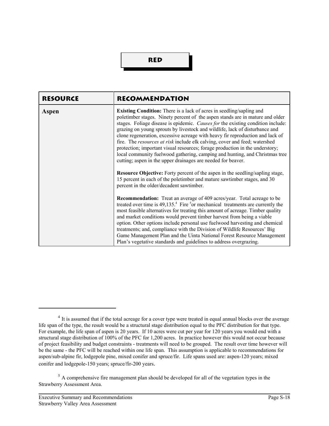### **Red**

| <b>RESOURCE</b> | <b>RECOMMENDATION</b>                                                                                                                                                                                                                                                                                                                                                                                                                                                                                                                                                                                                                                                                                                                                                                                                                                                                                                                        |
|-----------------|----------------------------------------------------------------------------------------------------------------------------------------------------------------------------------------------------------------------------------------------------------------------------------------------------------------------------------------------------------------------------------------------------------------------------------------------------------------------------------------------------------------------------------------------------------------------------------------------------------------------------------------------------------------------------------------------------------------------------------------------------------------------------------------------------------------------------------------------------------------------------------------------------------------------------------------------|
| Aspen           | <b>Existing Condition:</b> There is a lack of acres in seedling/sapling and<br>poletimber stages. Ninety percent of the aspen stands are in mature and older<br>stages. Foliage disease is epidemic. Causes for the existing condition include:<br>grazing on young sprouts by livestock and wildlife, lack of disturbance and<br>clone regeneration, excessive acreage with heavy fir reproduction and lack of<br>fire. The resources at risk include elk calving, cover and feed; watershed<br>protection; important visual resources; forage production in the understory;<br>local community fuelwood gathering, camping and hunting, and Christmas tree<br>cutting; aspen in the upper drainages are needed for beaver.<br><b>Resource Objective:</b> Forty percent of the aspen in the seedling/sapling stage,<br>15 percent in each of the poletimber and mature sawtimber stages, and 30<br>percent in the older/decadent sawtimber. |
|                 | <b>Recommendation:</b> Treat an average of 409 acres/year. Total acreage to be<br>treated over time is 49,135. <sup>4</sup> Fire <sup>5</sup> or mechanical treatments are currently the<br>most feasible alternatives for treating this amount of acreage. Timber quality<br>and market conditions would prevent timber harvest from being a viable<br>option. Other options include personal use fuelwood harvesting and chemical<br>treatments; and, compliance with the Division of Wildlife Resources' Big<br>Game Management Plan and the Uinta National Forest Resource Management<br>Plan's vegetative standards and guidelines to address overgrazing.                                                                                                                                                                                                                                                                              |

<sup>&</sup>lt;sup>4</sup> It is assumed that if the total acreage for a cover type were treated in equal annual blocks over the average life span of the type, the result would be a structural stage distribution equal to the PFC distribution for that type. For example, the life span of aspen is 20 years. If 10 acres were cut per year for 120 years you would end with a structural stage distribution of 100% of the PFC for 1,200 acres. In practice however this would not occur because of project feasibility and budget constraints - treatments will need to be grouped. The result over time however will be the same - the PFC will be reached within one life span. This assumption is applicable to recommendations for aspen/sub-alpine fir, lodgepole pine, mixed conifer and spruce/fir. Life spans used are: aspen-120 years; mixed conifer and lodgepole-150 years; spruce/fir-200 years.

<sup>&</sup>lt;sup>5</sup> A comprehensive fire management plan should be developed for all of the vegetation types in the Strawberry Assessment Area.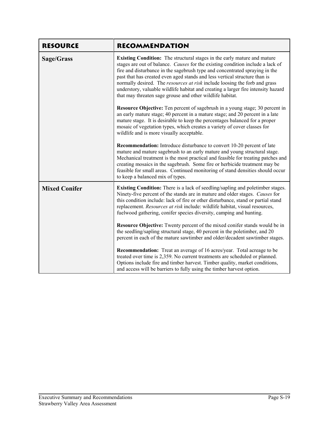| <b>RESOURCE</b>      | <b>RECOMMENDATION</b>                                                                                                                                                                                                                                                                                                                                                                                                                                                                                                                                                 |
|----------------------|-----------------------------------------------------------------------------------------------------------------------------------------------------------------------------------------------------------------------------------------------------------------------------------------------------------------------------------------------------------------------------------------------------------------------------------------------------------------------------------------------------------------------------------------------------------------------|
| Sage/Grass           | <b>Existing Condition:</b> The structural stages in the early mature and mature<br>stages are out of balance. Causes for the existing condition include a lack of<br>fire and disturbance in the sagebrush type and concentrated spraying in the<br>past that has created even aged stands and less vertical structure than is<br>normally desired. The <i>resources at risk</i> include loosing the forb and grass<br>understory, valuable wildlife habitat and creating a larger fire intensity hazard<br>that may threaten sage grouse and other wildlife habitat. |
|                      | Resource Objective: Ten percent of sagebrush in a young stage; 30 percent in<br>an early mature stage; 40 percent in a mature stage; and 20 percent in a late<br>mature stage. It is desirable to keep the percentages balanced for a proper<br>mosaic of vegetation types, which creates a variety of cover classes for<br>wildlife and is more visually acceptable.                                                                                                                                                                                                 |
|                      | Recommendation: Introduce disturbance to convert 10-20 percent of late<br>mature and mature sagebrush to an early mature and young structural stage.<br>Mechanical treatment is the most practical and feasible for treating patches and<br>creating mosaics in the sagebrush. Some fire or herbicide treatment may be<br>feasible for small areas. Continued monitoring of stand densities should occur<br>to keep a balanced mix of types.                                                                                                                          |
| <b>Mixed Conifer</b> | <b>Existing Condition:</b> There is a lack of seedling/sapling and poletimber stages.<br>Ninety-five percent of the stands are in mature and older stages. Causes for<br>this condition include: lack of fire or other disturbance, stand or partial stand<br>replacement. Resources at risk include: wildlife habitat, visual resources,<br>fuelwood gathering, conifer species diversity, camping and hunting.                                                                                                                                                      |
|                      | Resource Objective: Twenty percent of the mixed conifer stands would be in<br>the seedling/sapling structural stage, 40 percent in the poletimber, and 20<br>percent in each of the mature sawtimber and older/decadent sawtimber stages.                                                                                                                                                                                                                                                                                                                             |
|                      | Recommendation: Treat an average of 16 acres/year. Total acreage to be<br>treated over time is 2,359. No current treatments are scheduled or planned.<br>Options include fire and timber harvest. Timber quality, market conditions,<br>and access will be barriers to fully using the timber harvest option.                                                                                                                                                                                                                                                         |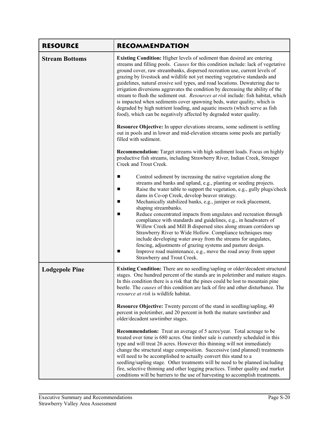| <b>RESOURCE</b>       | <b>RECOMMENDATION</b>                                                                                                                                                                                                                                                                                                                                                                                                                                                                                                                                                                                                                                                                                                                                                                                                                                                                                                                                                                                  |
|-----------------------|--------------------------------------------------------------------------------------------------------------------------------------------------------------------------------------------------------------------------------------------------------------------------------------------------------------------------------------------------------------------------------------------------------------------------------------------------------------------------------------------------------------------------------------------------------------------------------------------------------------------------------------------------------------------------------------------------------------------------------------------------------------------------------------------------------------------------------------------------------------------------------------------------------------------------------------------------------------------------------------------------------|
| <b>Stream Bottoms</b> | Existing Condition: Higher levels of sediment than desired are entering<br>streams and filling pools. Causes for this condition include: lack of vegetative<br>ground cover, raw streambanks, dispersed recreation use, current levels of<br>grazing by livestock and wildlife not yet meeting vegetative standards and<br>guidelines, natural erosive soil types, and road locations. Dewatering due to<br>irrigation diversions aggravates the condition by decreasing the ability of the<br>stream to flush the sediment out. Resources at risk include: fish habitat, which<br>is impacted when sediments cover spawning beds, water quality, which is<br>degraded by high nutrient loading, and aquatic insects (which serve as fish<br>food), which can be negatively affected by degraded water quality.<br>Resource Objective: In upper elevations streams, some sediment is settling<br>out in pools and in lower and mid-elevation streams some pools are partially<br>filled with sediment. |
|                       | Recommendation: Target streams with high sediment loads. Focus on highly<br>productive fish streams, including Strawberry River, Indian Creek, Streeper<br>Creek and Trout Creek.                                                                                                                                                                                                                                                                                                                                                                                                                                                                                                                                                                                                                                                                                                                                                                                                                      |
|                       | Control sediment by increasing the native vegetation along the<br>п<br>streams and banks and upland, e.g., planting or seeding projects.<br>Raise the water table to support the vegetation, e.g., gully plugs/check<br>dams in Co-op Creek, develop beaver strategy.<br>Mechanically stabilized banks, e.g., juniper or rock placement,<br>shaping streambanks.<br>Reduce concentrated impacts from ungulates and recreation through<br>compliance with standards and guidelines, e.g., in headwaters of<br>Willow Creek and Mill B dispersed sites along stream corridors up<br>Strawberry River to Wide Hollow. Compliance techniques may<br>include developing water away from the streams for ungulates,<br>fencing, adjustments of grazing systems and pasture design.<br>Improve road maintenance, e.g., move the road away from upper<br>п<br>Strawberry and Trout Creek.                                                                                                                      |
| <b>Lodgepole Pine</b> | <b>Existing Condition:</b> There are no seedling/sapling or older/decadent structural<br>stages. One hundred percent of the stands are in poletimber and mature stages.<br>In this condition there is a risk that the pines could be lost to mountain pine<br>beetle. The <i>causes</i> of this condition are lack of fire and other disturbance. The<br>resource at risk is wildlife habitat.                                                                                                                                                                                                                                                                                                                                                                                                                                                                                                                                                                                                         |
|                       | <b>Resource Objective:</b> Twenty percent of the stand in seedling/sapling, 40<br>percent in poletimber, and 20 percent in both the mature sawtimber and<br>older/decadent sawtimber stages.                                                                                                                                                                                                                                                                                                                                                                                                                                                                                                                                                                                                                                                                                                                                                                                                           |
|                       | <b>Recommendation:</b> Treat an average of 5 acres/year. Total acreage to be<br>treated over time is 680 acres. One timber sale is currently scheduled in this<br>type and will treat 26 acres. However this thinning will not immediately<br>change the structural stage composition. Successive (and planned) treatments<br>will need to be accomplished to actually convert this stand to a<br>seedling/sapling stage. Other treatments will be need to be planned including<br>fire, selective thinning and other logging practices. Timber quality and market<br>conditions will be barriers to the use of harvesting to accomplish treatments.                                                                                                                                                                                                                                                                                                                                                   |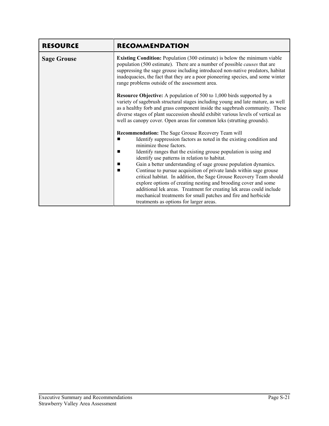| <b>RESOURCE</b>    | <b>RECOMMENDATION</b>                                                                                                                                                                                                                                                                                                                                                                                                                                                                                                                                                                                                                                                                                                                                       |
|--------------------|-------------------------------------------------------------------------------------------------------------------------------------------------------------------------------------------------------------------------------------------------------------------------------------------------------------------------------------------------------------------------------------------------------------------------------------------------------------------------------------------------------------------------------------------------------------------------------------------------------------------------------------------------------------------------------------------------------------------------------------------------------------|
| <b>Sage Grouse</b> | <b>Existing Condition:</b> Population (300 estimate) is below the minimum viable<br>population (500 estimate). There are a number of possible <i>causes</i> that are<br>suppressing the sage grouse including introduced non-native predators, habitat<br>inadequacies, the fact that they are a poor pioneering species, and some winter<br>range problems outside of the assessment area.                                                                                                                                                                                                                                                                                                                                                                 |
|                    | <b>Resource Objective:</b> A population of 500 to 1,000 birds supported by a<br>variety of sagebrush structural stages including young and late mature, as well<br>as a healthy forb and grass component inside the sagebrush community. These<br>diverse stages of plant succession should exhibit various levels of vertical as<br>well as canopy cover. Open areas for common leks (strutting grounds).                                                                                                                                                                                                                                                                                                                                                  |
|                    | Recommendation: The Sage Grouse Recovery Team will<br>Identify suppression factors as noted in the existing condition and<br>minimize those factors.<br>Identify ranges that the existing grouse population is using and<br>п<br>identify use patterns in relation to habitat.<br>Gain a better understanding of sage grouse population dynamics.<br>п<br>Continue to pursue acquisition of private lands within sage grouse<br>critical habitat. In addition, the Sage Grouse Recovery Team should<br>explore options of creating nesting and brooding cover and some<br>additional lek areas. Treatment for creating lek areas could include<br>mechanical treatments for small patches and fire and herbicide<br>treatments as options for larger areas. |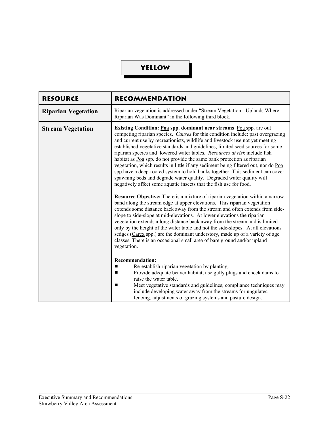## **Yellow**

| <b>RESOURCE</b>            | <b>RECOMMENDATION</b>                                                                                                                                                                                                                                                                                                                                                                                                                                                                                                                                                                                                                                                                                                                                                                                                                                                                                                                                                                                                                                                                                                                                                                                                                                                                                                                                                                                                                                                              |
|----------------------------|------------------------------------------------------------------------------------------------------------------------------------------------------------------------------------------------------------------------------------------------------------------------------------------------------------------------------------------------------------------------------------------------------------------------------------------------------------------------------------------------------------------------------------------------------------------------------------------------------------------------------------------------------------------------------------------------------------------------------------------------------------------------------------------------------------------------------------------------------------------------------------------------------------------------------------------------------------------------------------------------------------------------------------------------------------------------------------------------------------------------------------------------------------------------------------------------------------------------------------------------------------------------------------------------------------------------------------------------------------------------------------------------------------------------------------------------------------------------------------|
| <b>Riparian Vegetation</b> | Riparian vegetation is addressed under "Stream Vegetation - Uplands Where<br>Riparian Was Dominant" in the following third block.                                                                                                                                                                                                                                                                                                                                                                                                                                                                                                                                                                                                                                                                                                                                                                                                                                                                                                                                                                                                                                                                                                                                                                                                                                                                                                                                                  |
| <b>Stream Vegetation</b>   | Existing Condition: Poa spp. dominant near streams Poa spp. are out<br>competing riparian species. Causes for this condition include: past overgrazing<br>and current use by recreationists, wildlife and livestock use not yet meeting<br>established vegetative standards and guidelines, limited seed sources for some<br>riparian species and lowered water tables. Resources at risk include fish<br>habitat as Poa spp. do not provide the same bank protection as riparian<br>vegetation, which results in little if any sediment being filtered out, nor do Poa<br>spp.have a deep-rooted system to hold banks together. This sediment can cover<br>spawning beds and degrade water quality. Degraded water quality will<br>negatively affect some aquatic insects that the fish use for food.<br><b>Resource Objective:</b> There is a mixture of riparian vegetation within a narrow<br>band along the stream edge at upper elevations. This riparian vegetation<br>extends some distance back away from the stream and often extends from side-<br>slope to side-slope at mid-elevations. At lower elevations the riparian<br>vegetation extends a long distance back away from the stream and is limited<br>only by the height of the water table and not the side-slopes. At all elevations<br>sedges (Carex spp.) are the dominant understory, made up of a variety of age<br>classes. There is an occasional small area of bare ground and/or upland<br>vegetation. |
|                            | <b>Recommendation:</b>                                                                                                                                                                                                                                                                                                                                                                                                                                                                                                                                                                                                                                                                                                                                                                                                                                                                                                                                                                                                                                                                                                                                                                                                                                                                                                                                                                                                                                                             |
|                            | Re-establish riparian vegetation by planting.<br>Provide adequate beaver habitat, use gully plugs and check dams to<br>raise the water table.<br>Meet vegetative standards and guidelines; compliance techniques may                                                                                                                                                                                                                                                                                                                                                                                                                                                                                                                                                                                                                                                                                                                                                                                                                                                                                                                                                                                                                                                                                                                                                                                                                                                               |
|                            | include developing water away from the streams for ungulates,<br>fencing, adjustments of grazing systems and pasture design.                                                                                                                                                                                                                                                                                                                                                                                                                                                                                                                                                                                                                                                                                                                                                                                                                                                                                                                                                                                                                                                                                                                                                                                                                                                                                                                                                       |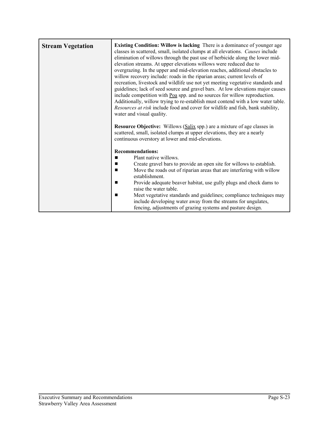| <b>Stream Vegetation</b> | <b>Existing Condition: Willow is lacking</b> There is a dominance of younger age<br>classes in scattered, small, isolated clumps at all elevations. Causes include<br>elimination of willows through the past use of herbicide along the lower mid-<br>elevation streams. At upper elevations willows were reduced due to<br>overgrazing. In the upper and mid-elevation reaches, additional obstacles to<br>willow recovery include: roads in the riparian areas; current levels of<br>recreation, livestock and wildlife use not yet meeting vegetative standards and<br>guidelines; lack of seed source and gravel bars. At low elevations major causes<br>include competition with Poa spp. and no sources for willow reproduction.<br>Additionally, willow trying to re-establish must contend with a low water table.<br>Resources at risk include food and cover for wildlife and fish, bank stability,<br>water and visual quality.<br><b>Resource Objective:</b> Willows (Salix spp.) are a mixture of age classes in<br>scattered, small, isolated clumps at upper elevations, they are a nearly<br>continuous overstory at lower and mid-elevations. |
|--------------------------|-----------------------------------------------------------------------------------------------------------------------------------------------------------------------------------------------------------------------------------------------------------------------------------------------------------------------------------------------------------------------------------------------------------------------------------------------------------------------------------------------------------------------------------------------------------------------------------------------------------------------------------------------------------------------------------------------------------------------------------------------------------------------------------------------------------------------------------------------------------------------------------------------------------------------------------------------------------------------------------------------------------------------------------------------------------------------------------------------------------------------------------------------------------------|
|                          | <b>Recommendations:</b><br>Plant native willows.<br>Create gravel bars to provide an open site for willows to establish.<br>■<br>Move the roads out of riparian areas that are interfering with willow<br>п<br>establishment.<br>Provide adequate beaver habitat, use gully plugs and check dams to<br>■<br>raise the water table.<br>Meet vegetative standards and guidelines; compliance techniques may<br>■<br>include developing water away from the streams for ungulates,<br>fencing, adjustments of grazing systems and pasture design.                                                                                                                                                                                                                                                                                                                                                                                                                                                                                                                                                                                                                  |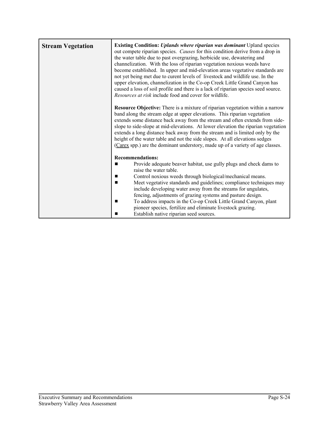| <b>Stream Vegetation</b> | <b>Existing Condition: Uplands where riparian was dominant Upland species</b><br>out compete riparian species. Causes for this condition derive from a drop in<br>the water table due to past overgrazing, herbicide use, dewatering and<br>channelization. With the loss of riparian vegetation noxious weeds have<br>become established. In upper and mid-elevation areas vegetative standards are<br>not yet being met due to curent levels of livestock and wildlife use. In the<br>upper elevation, channelization in the Co-op Creek Little Grand Canyon has<br>caused a loss of soil profile and there is a lack of riparian species seed source.<br>Resources at risk include food and cover for wildlife.<br><b>Resource Objective:</b> There is a mixture of riparian vegetation within a narrow<br>band along the stream edge at upper elevations. This riparian vegetation<br>extends some distance back away from the stream and often extends from side-<br>slope to side-slope at mid-elevations. At lower elevation the riparian vegetation<br>extends a long distance back away from the stream and is limited only by the<br>height of the water table and not the side slopes. At all elevations sedges<br>(Carex spp.) are the dominant understory, made up of a variety of age classes. |
|--------------------------|--------------------------------------------------------------------------------------------------------------------------------------------------------------------------------------------------------------------------------------------------------------------------------------------------------------------------------------------------------------------------------------------------------------------------------------------------------------------------------------------------------------------------------------------------------------------------------------------------------------------------------------------------------------------------------------------------------------------------------------------------------------------------------------------------------------------------------------------------------------------------------------------------------------------------------------------------------------------------------------------------------------------------------------------------------------------------------------------------------------------------------------------------------------------------------------------------------------------------------------------------------------------------------------------------------------|
|                          | <b>Recommendations:</b><br>Provide adequate beaver habitat, use gully plugs and check dams to<br>п<br>raise the water table.<br>Control noxious weeds through biological/mechanical means.<br>Meet vegetative standards and guidelines; compliance techniques may<br>include developing water away from the streams for ungulates,<br>fencing, adjustments of grazing systems and pasture design.<br>To address impacts in the Co-op Creek Little Grand Canyon, plant<br>pioneer species, fertilize and eliminate livestock grazing.<br>Establish native riparian seed sources.                                                                                                                                                                                                                                                                                                                                                                                                                                                                                                                                                                                                                                                                                                                              |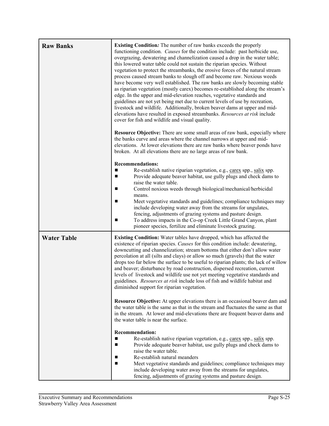| <b>Raw Banks</b>   | <b>Existing Condition:</b> The number of raw banks exceeds the properly<br>functioning condition. Causes for the condition include: past herbicide use,<br>overgrazing, dewatering and channelization caused a drop in the water table;<br>this lowered water table could not sustain the riparian species. Without<br>vegetation to protect the streambanks, the erosive forces of the natural stream<br>process caused stream banks to slough off and become raw. Noxious weeds<br>have become very well established. The raw banks are slowly becoming stable<br>as riparian vegetation (mostly carex) becomes re-established along the stream's<br>edge. In the upper and mid-elevation reaches, vegetative standards and<br>guidelines are not yet being met due to current levels of use by recreation,<br>livestock and wildlife. Additionally, broken beaver dams at upper and mid-<br>elevations have resulted in exposed streambanks. Resources at risk include<br>cover for fish and wildlife and visual quality.<br>Resource Objective: There are some small areas of raw bank, especially where<br>the banks curve and areas where the channel narrows at upper and mid-<br>elevations. At lower elevations there are raw banks where beaver ponds have |
|--------------------|----------------------------------------------------------------------------------------------------------------------------------------------------------------------------------------------------------------------------------------------------------------------------------------------------------------------------------------------------------------------------------------------------------------------------------------------------------------------------------------------------------------------------------------------------------------------------------------------------------------------------------------------------------------------------------------------------------------------------------------------------------------------------------------------------------------------------------------------------------------------------------------------------------------------------------------------------------------------------------------------------------------------------------------------------------------------------------------------------------------------------------------------------------------------------------------------------------------------------------------------------------------------|
|                    | broken. At all elevations there are no large areas of raw bank.<br><b>Recommendations:</b><br>Re-establish native riparian vegetation, e.g., carex spp., salix spp.<br>■<br>Provide adequate beaver habitat, use gully plugs and check dams to<br>п<br>raise the water table.<br>Control noxious weeds through biological/mechanical/herbicidal<br>means.<br>Meet vegetative standards and guidelines; compliance techniques may<br>include developing water away from the streams for ungulates,<br>fencing, adjustments of grazing systems and pasture design.<br>To address impacts in the Co-op Creek Little Grand Canyon, plant<br>п<br>pioneer species, fertilize and eliminate livestock grazing.                                                                                                                                                                                                                                                                                                                                                                                                                                                                                                                                                             |
| <b>Water Table</b> | <b>Existing Condition:</b> Water tables have dropped, which has affected the<br>existence of riparian species. Causes for this condition include: dewatering,<br>downcutting and channelization; stream bottoms that either don't allow water<br>percolation at all (silts and clays) or allow so much (gravels) that the water<br>drops too far below the surface to be useful to riparian plants; the lack of willow<br>and beaver; disturbance by road construction, dispersed recreation, current<br>levels of livestock and wildlife use not yet meeting vegetative standards and<br>guidelines. Resources at risk include loss of fish and wildlife habitat and<br>diminished support for riparian vegetation.<br>Resource Objective: At upper elevations there is an occasional beaver dam and<br>the water table is the same as that in the stream and fluctuates the same as that<br>in the stream. At lower and mid-elevations there are frequent beaver dams and<br>the water table is near the surface.                                                                                                                                                                                                                                                  |
|                    | <b>Recommendation:</b><br>п<br>Re-establish native riparian vegetation, e.g., carex spp., salix spp.<br>Provide adequate beaver habitat, use gully plugs and check dams to<br>п<br>raise the water table.<br>Re-establish natural meanders<br>■<br>Meet vegetative standards and guidelines; compliance techniques may<br>include developing water away from the streams for ungulates,<br>fencing, adjustments of grazing systems and pasture design.                                                                                                                                                                                                                                                                                                                                                                                                                                                                                                                                                                                                                                                                                                                                                                                                               |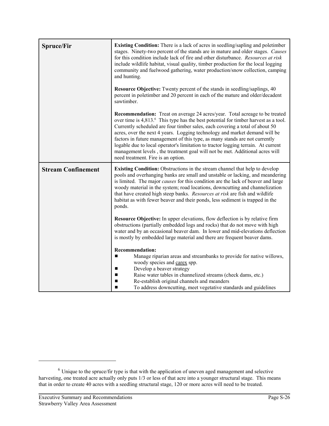| <b>Spruce/Fir</b>         | <b>Existing Condition:</b> There is a lack of acres in seedling/sapling and poletimber<br>stages. Ninety-two percent of the stands are in mature and older stages. Causes<br>for this condition include lack of fire and other disturbance. Resources at risk<br>include wildlife habitat, visual quality, timber production for the local logging<br>community and fuelwood gathering, water production/snow collection, camping<br>and hunting.                                                                                                                                                                                             |  |
|---------------------------|-----------------------------------------------------------------------------------------------------------------------------------------------------------------------------------------------------------------------------------------------------------------------------------------------------------------------------------------------------------------------------------------------------------------------------------------------------------------------------------------------------------------------------------------------------------------------------------------------------------------------------------------------|--|
|                           | <b>Resource Objective:</b> Twenty percent of the stands in seedling/saplings, 40<br>percent in poletimber and 20 percent in each of the mature and older/decadent<br>sawtimber.                                                                                                                                                                                                                                                                                                                                                                                                                                                               |  |
|                           | <b>Recommendation:</b> Treat on average 24 acres/year. Total acreage to be treated<br>over time is 4,813. <sup>6</sup> This type has the best potential for timber harvest as a tool.<br>Currently scheduled are four timber sales, each covering a total of about 50<br>acres, over the next 4 years. Logging technology and market demand will be<br>factors in future management of this type, as many stands are not currently<br>logable due to local operator's limitation to tractor logging terrain. At current<br>management levels, the treatment goal will not be met. Additional acres will<br>need treatment. Fire is an option. |  |
| <b>Stream Confinement</b> | <b>Existing Condition:</b> Obstructions in the stream channel that help to develop<br>pools and overhanging banks are small and unstable or lacking, and meandering<br>is limited. The major <i>causes</i> for this condition are the lack of beaver and large<br>woody material in the system; road locations, downcutting and channelization<br>that have created high steep banks. Resources at risk are fish and wildlife<br>habitat as with fewer beaver and their ponds, less sediment is trapped in the<br>ponds.                                                                                                                      |  |
|                           | Resource Objective: In upper elevations, flow deflection is by relative firm<br>obstructions (partially embedded logs and rocks) that do not move with high<br>water and by an occasional beaver dam. In lower and mid-elevations deflection<br>is mostly by embedded large material and there are frequent beaver dams.                                                                                                                                                                                                                                                                                                                      |  |
|                           | <b>Recommendation:</b><br>Manage riparian areas and streambanks to provide for native willows,<br>woody species and carex spp.<br>Develop a beaver strategy<br>п<br>Raise water tables in channelized streams (check dams, etc.)<br>п<br>Re-establish original channels and meanders<br>П<br>To address downcutting, meet vegetative standards and guidelines<br>▬                                                                                                                                                                                                                                                                            |  |

 $6$  Unique to the spruce/fir type is that with the application of uneven aged management and selective harvesting, one treated acre actually only puts 1/3 or less of that acre into a younger structural stage. This means that in order to create 40 acres with a seedling structural stage, 120 or more acres will need to be treated.